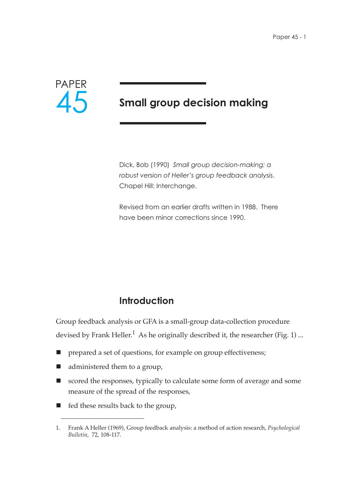

# **Small group decision making**

Dick, Bob (1990) *Small group decision-making: a robust version of Heller's group feedback analysis*. Chapel Hill: Interchange.

Revised from an earlier drafts written in 1988. There have been minor corrections since 1990.

# **Introduction**

Group feedback analysis or GFA is a small-group data-collection procedure devised by Frank Heller.<sup>1</sup> As he originally described it, the researcher (Fig. 1) ...

- prepared a set of questions, for example on group effectiveness;
- administered them to a group,
- scored the responses, typically to calculate some form of average and some measure of the spread of the responses,
- $\blacksquare$  fed these results back to the group,

<sup>1.</sup> Frank A Heller (1969), Group feedback analysis: a method of action research, *Psychological Bulletin*, 72, 108-117.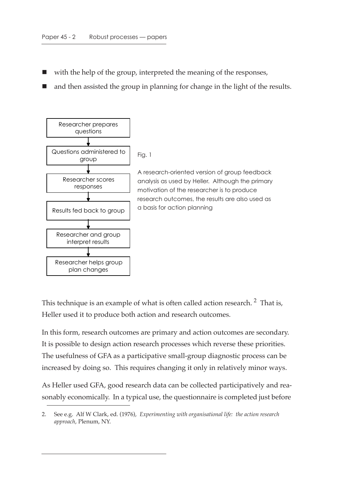- with the help of the group, interpreted the meaning of the responses,
- $\blacksquare$  and then assisted the group in planning for change in the light of the results.



This technique is an example of what is often called action research.<sup>2</sup> That is, Heller used it to produce both action and research outcomes.

In this form, research outcomes are primary and action outcomes are secondary. It is possible to design action research processes which reverse these priorities. The usefulness of GFA as a participative small-group diagnostic process can be increased by doing so. This requires changing it only in relatively minor ways.

As Heller used GFA, good research data can be collected participatively and reasonably economically. In a typical use, the questionnaire is completed just before

<sup>2.</sup> See e.g. Alf W Clark, ed. (1976), *Experimenting with organisational life: the action research approach*, Plenum, NY.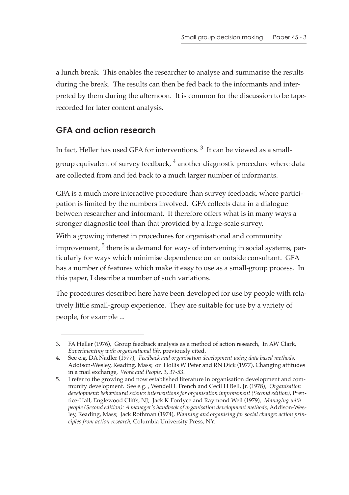a lunch break. This enables the researcher to analyse and summarise the results during the break. The results can then be fed back to the informants and interpreted by them during the afternoon. It is common for the discussion to be taperecorded for later content analysis.

## **GFA and action research**

In fact, Heller has used GFA for interventions. 3 It can be viewed as a smallgroup equivalent of survey feedback,  $<sup>4</sup>$  another diagnostic procedure where data</sup> are collected from and fed back to a much larger number of informants.

GFA is a much more interactive procedure than survey feedback, where participation is limited by the numbers involved. GFA collects data in a dialogue between researcher and informant. It therefore offers what is in many ways a stronger diagnostic tool than that provided by a large-scale survey.

With a growing interest in procedures for organisational and community improvement,  $5$  there is a demand for ways of intervening in social systems, particularly for ways which minimise dependence on an outside consultant. GFA has a number of features which make it easy to use as a small-group process. In this paper, I describe a number of such variations.

The procedures described here have been developed for use by people with relatively little small-group experience. They are suitable for use by a variety of people, for example ...

<sup>3.</sup> FA Heller (1976), Group feedback analysis as a method of action research, In AW Clark, *Experimenting with organisational life,* previously cited.

<sup>4.</sup> See e.g. DA Nadler (1977), *Feedback and organisation development using data based methods*, Addison-Wesley, Reading, Mass; or Hollis W Peter and RN Dick (1977), Changing attitudes in a mail exchange, *Work and People*, 3, 37-53.

<sup>5.</sup> I refer to the growing and now established literature in organisation development and community development. See e.g. , Wendell L French and Cecil H Bell, Jr. (1978), *Organisation development: behavioural science interventions for organisation improvement (Second edition)*, Prentice-Hall, Englewood Cliffs, NJ; Jack K Fordyce and Raymond Weil (1979), *Managing with people (Second edition): A manager's handbook of organisation development methods*, Addison-Wesley, Reading, Mass; Jack Rothman (1974), *Planning and organising for social change: action principles from action research*, Columbia University Press, NY.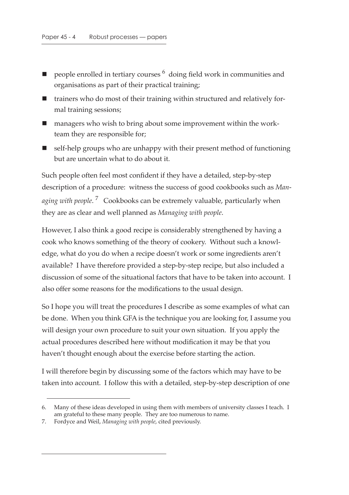- people enrolled in tertiary courses 6 doing field work in communities and organisations as part of their practical training;
- trainers who do most of their training within structured and relatively formal training sessions;
- managers who wish to bring about some improvement within the workteam they are responsible for;
- self-help groups who are unhappy with their present method of functioning but are uncertain what to do about it.

Such people often feel most confident if they have a detailed, step-by-step description of a procedure: witness the success of good cookbooks such as *Managing with people*. 7 Cookbooks can be extremely valuable, particularly when they are as clear and well planned as *Managing with people*.

However, I also think a good recipe is considerably strengthened by having a cook who knows something of the theory of cookery. Without such a knowledge, what do you do when a recipe doesn't work or some ingredients aren't available? I have therefore provided a step-by-step recipe, but also included a discussion of some of the situational factors that have to be taken into account. I also offer some reasons for the modifications to the usual design.

So I hope you will treat the procedures I describe as some examples of what can be done. When you think GFA is the technique you are looking for, I assume you will design your own procedure to suit your own situation. If you apply the actual procedures described here without modification it may be that you haven't thought enough about the exercise before starting the action.

I will therefore begin by discussing some of the factors which may have to be taken into account. I follow this with a detailed, step-by-step description of one

<sup>6.</sup> Many of these ideas developed in using them with members of university classes I teach. I am grateful to these many people. They are too numerous to name.

<sup>7.</sup> Fordyce and Weil, *Managing with people*, cited previously.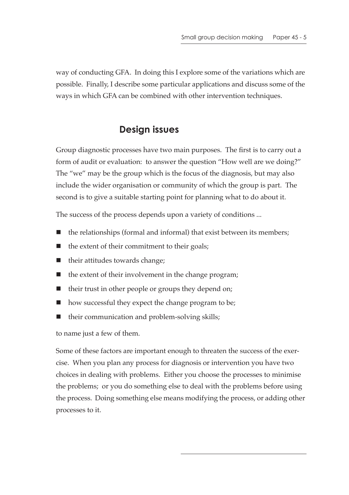way of conducting GFA. In doing this I explore some of the variations which are possible. Finally, I describe some particular applications and discuss some of the ways in which GFA can be combined with other intervention techniques.

# **Design issues**

Group diagnostic processes have two main purposes. The first is to carry out a form of audit or evaluation: to answer the question "How well are we doing?" The "we" may be the group which is the focus of the diagnosis, but may also include the wider organisation or community of which the group is part. The second is to give a suitable starting point for planning what to do about it.

The success of the process depends upon a variety of conditions ...

- $\blacksquare$  the relationships (formal and informal) that exist between its members;
- the extent of their commitment to their goals;
- their attitudes towards change;
- $\blacksquare$  the extent of their involvement in the change program;
- $\blacksquare$  their trust in other people or groups they depend on;
- how successful they expect the change program to be;
- $\blacksquare$  their communication and problem-solving skills;

to name just a few of them.

Some of these factors are important enough to threaten the success of the exercise. When you plan any process for diagnosis or intervention you have two choices in dealing with problems. Either you choose the processes to minimise the problems; or you do something else to deal with the problems before using the process. Doing something else means modifying the process, or adding other processes to it.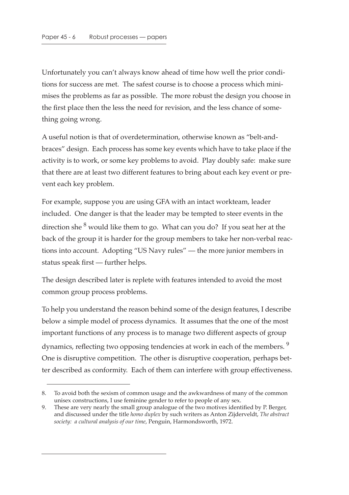Unfortunately you can't always know ahead of time how well the prior conditions for success are met. The safest course is to choose a process which minimises the problems as far as possible. The more robust the design you choose in the first place then the less the need for revision, and the less chance of something going wrong.

A useful notion is that of overdetermination, otherwise known as "belt-andbraces" design. Each process has some key events which have to take place if the activity is to work, or some key problems to avoid. Play doubly safe: make sure that there are at least two different features to bring about each key event or prevent each key problem.

For example, suppose you are using GFA with an intact workteam, leader included. One danger is that the leader may be tempted to steer events in the direction she  $8$  would like them to go. What can you do? If you seat her at the back of the group it is harder for the group members to take her non-verbal reactions into account. Adopting "US Navy rules" — the more junior members in status speak first — further helps.

The design described later is replete with features intended to avoid the most common group process problems.

To help you understand the reason behind some of the design features, I describe below a simple model of process dynamics. It assumes that the one of the most important functions of any process is to manage two different aspects of group dynamics, reflecting two opposing tendencies at work in each of the members.<sup>9</sup> One is disruptive competition. The other is disruptive cooperation, perhaps better described as conformity. Each of them can interfere with group effectiveness.

<sup>8.</sup> To avoid both the sexism of common usage and the awkwardness of many of the common unisex constructions, I use feminine gender to refer to people of any sex.

<sup>9.</sup> These are very nearly the small group analogue of the two motives identified by P. Berger, and discussed under the title *homo duplex* by such writers as Anton Zijderveldt, *The abstract society: a cultural analysis of our time*, Penguin, Harmondsworth, 1972.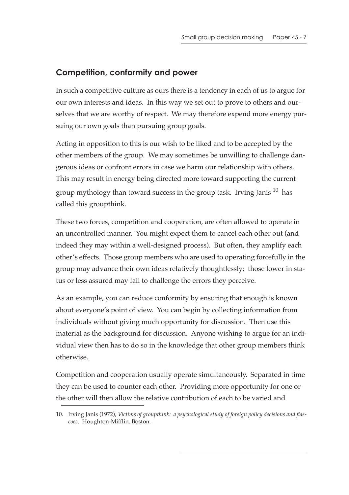### **Competition, conformity and power**

In such a competitive culture as ours there is a tendency in each of us to argue for our own interests and ideas. In this way we set out to prove to others and ourselves that we are worthy of respect. We may therefore expend more energy pursuing our own goals than pursuing group goals.

Acting in opposition to this is our wish to be liked and to be accepted by the other members of the group. We may sometimes be unwilling to challenge dangerous ideas or confront errors in case we harm our relationship with others. This may result in energy being directed more toward supporting the current group mythology than toward success in the group task. Irving Janis<sup>10</sup> has called this groupthink.

These two forces, competition and cooperation, are often allowed to operate in an uncontrolled manner. You might expect them to cancel each other out (and indeed they may within a well-designed process). But often, they amplify each other's effects. Those group members who are used to operating forcefully in the group may advance their own ideas relatively thoughtlessly; those lower in status or less assured may fail to challenge the errors they perceive.

As an example, you can reduce conformity by ensuring that enough is known about everyone's point of view. You can begin by collecting information from individuals without giving much opportunity for discussion. Then use this material as the background for discussion. Anyone wishing to argue for an individual view then has to do so in the knowledge that other group members think otherwise.

Competition and cooperation usually operate simultaneously. Separated in time they can be used to counter each other. Providing more opportunity for one or the other will then allow the relative contribution of each to be varied and

<sup>10.</sup> Irving Janis (1972), *Victims of groupthink: a psychological study of foreign policy decisions and fiascoes*, Houghton-Mifflin, Boston.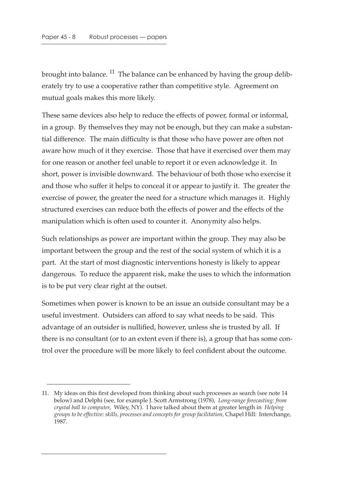brought into balance. <sup>11</sup> The balance can be enhanced by having the group deliberately try to use a cooperative rather than competitive style. Agreement on mutual goals makes this more likely.

These same devices also help to reduce the effects of power, formal or informal, in a group. By themselves they may not be enough, but they can make a substantial difference. The main difficulty is that those who have power are often not aware how much of it they exercise. Those that have it exercised over them may for one reason or another feel unable to report it or even acknowledge it. In short, power is invisible downward. The behaviour of both those who exercise it and those who suffer it helps to conceal it or appear to justify it. The greater the exercise of power, the greater the need for a structure which manages it. Highly structured exercises can reduce both the effects of power and the effects of the manipulation which is often used to counter it. Anonymity also helps.

Such relationships as power are important within the group. They may also be important between the group and the rest of the social system of which it is a part. At the start of most diagnostic interventions honesty is likely to appear dangerous. To reduce the apparent risk, make the uses to which the information is to be put very clear right at the outset.

Sometimes when power is known to be an issue an outside consultant may be a useful investment. Outsiders can afford to say what needs to be said. This advantage of an outsider is nullified, however, unless she is trusted by all. If there is no consultant (or to an extent even if there is), a group that has some control over the procedure will be more likely to feel confident about the outcome.

<sup>11.</sup> My ideas on this first developed from thinking about such processes as search (see note 14 below) and Delphi (see, for example J. Scott Armstrong (1978), *Long-range forecasting: from crystal ball to computer*, Wiley, NY). I have talked about them at greater length in *Helping groups to be effective: skills, processes and concepts for group facilitation,* Chapel Hill: Interchange, 1987.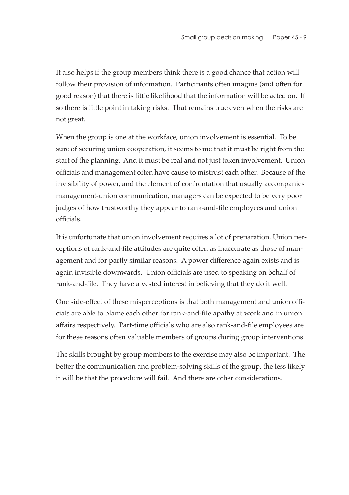It also helps if the group members think there is a good chance that action will follow their provision of information. Participants often imagine (and often for good reason) that there is little likelihood that the information will be acted on. If so there is little point in taking risks. That remains true even when the risks are not great.

When the group is one at the workface, union involvement is essential. To be sure of securing union cooperation, it seems to me that it must be right from the start of the planning. And it must be real and not just token involvement. Union officials and management often have cause to mistrust each other. Because of the invisibility of power, and the element of confrontation that usually accompanies management-union communication, managers can be expected to be very poor judges of how trustworthy they appear to rank-and-file employees and union officials.

It is unfortunate that union involvement requires a lot of preparation. Union perceptions of rank-and-file attitudes are quite often as inaccurate as those of management and for partly similar reasons. A power difference again exists and is again invisible downwards. Union officials are used to speaking on behalf of rank-and-file. They have a vested interest in believing that they do it well.

One side-effect of these misperceptions is that both management and union officials are able to blame each other for rank-and-file apathy at work and in union affairs respectively. Part-time officials who are also rank-and-file employees are for these reasons often valuable members of groups during group interventions.

The skills brought by group members to the exercise may also be important. The better the communication and problem-solving skills of the group, the less likely it will be that the procedure will fail. And there are other considerations.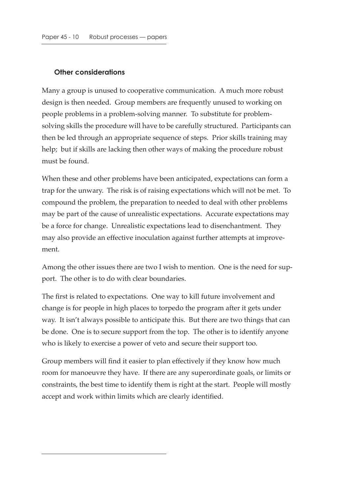#### **Other considerations**

Many a group is unused to cooperative communication. A much more robust design is then needed. Group members are frequently unused to working on people problems in a problem-solving manner. To substitute for problemsolving skills the procedure will have to be carefully structured. Participants can then be led through an appropriate sequence of steps. Prior skills training may help; but if skills are lacking then other ways of making the procedure robust must be found.

When these and other problems have been anticipated, expectations can form a trap for the unwary. The risk is of raising expectations which will not be met. To compound the problem, the preparation to needed to deal with other problems may be part of the cause of unrealistic expectations. Accurate expectations may be a force for change. Unrealistic expectations lead to disenchantment. They may also provide an effective inoculation against further attempts at improvement.

Among the other issues there are two I wish to mention. One is the need for support. The other is to do with clear boundaries.

The first is related to expectations. One way to kill future involvement and change is for people in high places to torpedo the program after it gets under way. It isn't always possible to anticipate this. But there are two things that can be done. One is to secure support from the top. The other is to identify anyone who is likely to exercise a power of veto and secure their support too.

Group members will find it easier to plan effectively if they know how much room for manoeuvre they have. If there are any superordinate goals, or limits or constraints, the best time to identify them is right at the start. People will mostly accept and work within limits which are clearly identified.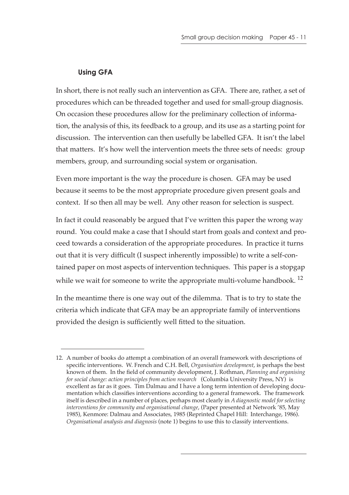#### **Using GFA**

In short, there is not really such an intervention as GFA. There are, rather, a set of procedures which can be threaded together and used for small-group diagnosis. On occasion these procedures allow for the preliminary collection of information, the analysis of this, its feedback to a group, and its use as a starting point for discussion. The intervention can then usefully be labelled GFA. It isn't the label that matters. It's how well the intervention meets the three sets of needs: group members, group, and surrounding social system or organisation.

Even more important is the way the procedure is chosen. GFA may be used because it seems to be the most appropriate procedure given present goals and context. If so then all may be well. Any other reason for selection is suspect.

In fact it could reasonably be argued that I've written this paper the wrong way round. You could make a case that I should start from goals and context and proceed towards a consideration of the appropriate procedures. In practice it turns out that it is very difficult (I suspect inherently impossible) to write a self-contained paper on most aspects of intervention techniques. This paper is a stopgap while we wait for someone to write the appropriate multi-volume handbook.  $^{12}$ 

In the meantime there is one way out of the dilemma. That is to try to state the criteria which indicate that GFA may be an appropriate family of interventions provided the design is sufficiently well fitted to the situation.

<sup>12.</sup> A number of books do attempt a combination of an overall framework with descriptions of specific interventions. W. French and C.H. Bell, *Organisation development*, is perhaps the best known of them. In the field of community development, J. Rothman, *Planning and organising for social change: action principles from action research* (Columbia University Press, NY) is excellent as far as it goes. Tim Dalmau and I have a long term intention of developing documentation which classifies interventions according to a general framework. The framework itself is described in a number of places, perhaps most clearly in *A diagnostic model for selecting interventions for community and organisational change*, (Paper presented at Network '85, May 1985), Kenmore: Dalmau and Associates, 1985 (Reprinted Chapel Hill: Interchange, 1986). *Organisational analysis and diagnosis* (note 1) begins to use this to classify interventions.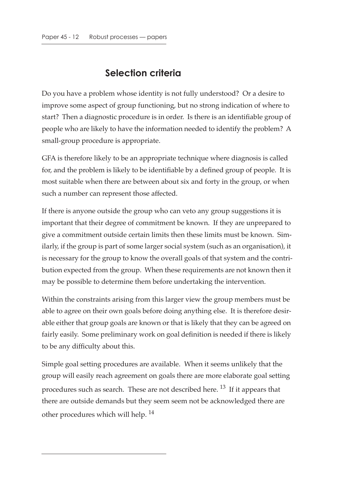# **Selection criteria**

Do you have a problem whose identity is not fully understood? Or a desire to improve some aspect of group functioning, but no strong indication of where to start? Then a diagnostic procedure is in order. Is there is an identifiable group of people who are likely to have the information needed to identify the problem? A small-group procedure is appropriate.

GFA is therefore likely to be an appropriate technique where diagnosis is called for, and the problem is likely to be identifiable by a defined group of people. It is most suitable when there are between about six and forty in the group, or when such a number can represent those affected.

If there is anyone outside the group who can veto any group suggestions it is important that their degree of commitment be known. If they are unprepared to give a commitment outside certain limits then these limits must be known. Similarly, if the group is part of some larger social system (such as an organisation), it is necessary for the group to know the overall goals of that system and the contribution expected from the group. When these requirements are not known then it may be possible to determine them before undertaking the intervention.

Within the constraints arising from this larger view the group members must be able to agree on their own goals before doing anything else. It is therefore desirable either that group goals are known or that is likely that they can be agreed on fairly easily. Some preliminary work on goal definition is needed if there is likely to be any difficulty about this.

Simple goal setting procedures are available. When it seems unlikely that the group will easily reach agreement on goals there are more elaborate goal setting procedures such as search. These are not described here. 13 If it appears that there are outside demands but they seem seem not be acknowledged there are other procedures which will help. <sup>14</sup>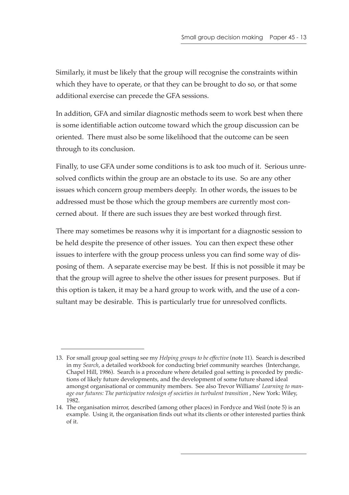Similarly, it must be likely that the group will recognise the constraints within which they have to operate, or that they can be brought to do so, or that some additional exercise can precede the GFA sessions.

In addition, GFA and similar diagnostic methods seem to work best when there is some identifiable action outcome toward which the group discussion can be oriented. There must also be some likelihood that the outcome can be seen through to its conclusion.

Finally, to use GFA under some conditions is to ask too much of it. Serious unresolved conflicts within the group are an obstacle to its use. So are any other issues which concern group members deeply. In other words, the issues to be addressed must be those which the group members are currently most concerned about. If there are such issues they are best worked through first.

There may sometimes be reasons why it is important for a diagnostic session to be held despite the presence of other issues. You can then expect these other issues to interfere with the group process unless you can find some way of disposing of them. A separate exercise may be best. If this is not possible it may be that the group will agree to shelve the other issues for present purposes. But if this option is taken, it may be a hard group to work with, and the use of a consultant may be desirable. This is particularly true for unresolved conflicts.

<sup>13.</sup> For small group goal setting see my *Helping groups to be effective* (note 11). Search is described in my *Search*, a detailed workbook for conducting brief community searches (Interchange, Chapel Hill, 1986). Search is a procedure where detailed goal setting is preceded by predictions of likely future developments, and the development of some future shared ideal amongst organisational or community members. See also Trevor Williams' *Learning to manage our futures: The participative redesign of societies in turbulent transition* , New York: Wiley, 1982.

<sup>14.</sup> The organisation mirror, described (among other places) in Fordyce and Weil (note 5) is an example. Using it, the organisation finds out what its clients or other interested parties think of it.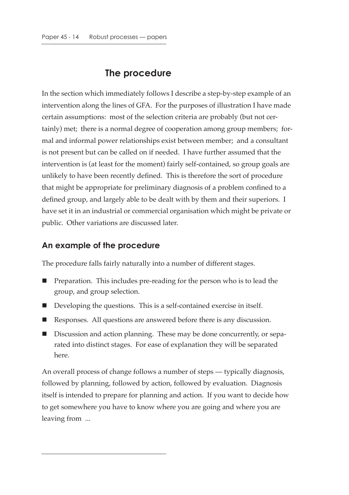### **The procedure**

In the section which immediately follows I describe a step-by-step example of an intervention along the lines of GFA. For the purposes of illustration I have made certain assumptions: most of the selection criteria are probably (but not certainly) met; there is a normal degree of cooperation among group members; formal and informal power relationships exist between member; and a consultant is not present but can be called on if needed. I have further assumed that the intervention is (at least for the moment) fairly self-contained, so group goals are unlikely to have been recently defined. This is therefore the sort of procedure that might be appropriate for preliminary diagnosis of a problem confined to a defined group, and largely able to be dealt with by them and their superiors. I have set it in an industrial or commercial organisation which might be private or public. Other variations are discussed later.

#### **An example of the procedure**

The procedure falls fairly naturally into a number of different stages.

- Preparation. This includes pre-reading for the person who is to lead the group, and group selection.
- Developing the questions. This is a self-contained exercise in itself.
- Responses. All questions are answered before there is any discussion.
- Discussion and action planning. These may be done concurrently, or separated into distinct stages. For ease of explanation they will be separated here.

An overall process of change follows a number of steps — typically diagnosis, followed by planning, followed by action, followed by evaluation. Diagnosis itself is intended to prepare for planning and action. If you want to decide how to get somewhere you have to know where you are going and where you are leaving from ...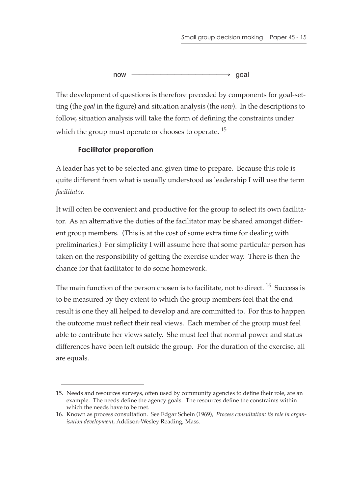now —<del>———————————→</del> goal

The development of questions is therefore preceded by components for goal-setting (the *goal* in the figure) and situation analysis (the *now*). In the descriptions to follow, situation analysis will take the form of defining the constraints under which the group must operate or chooses to operate.<sup>15</sup>

#### **Facilitator preparation**

A leader has yet to be selected and given time to prepare. Because this role is quite different from what is usually understood as leadership I will use the term *facilitator*.

It will often be convenient and productive for the group to select its own facilitator. As an alternative the duties of the facilitator may be shared amongst different group members. (This is at the cost of some extra time for dealing with preliminaries.) For simplicity I will assume here that some particular person has taken on the responsibility of getting the exercise under way. There is then the chance for that facilitator to do some homework.

The main function of the person chosen is to facilitate, not to direct. <sup>16</sup> Success is to be measured by they extent to which the group members feel that the end result is one they all helped to develop and are committed to. For this to happen the outcome must reflect their real views. Each member of the group must feel able to contribute her views safely. She must feel that normal power and status differences have been left outside the group. For the duration of the exercise, all are equals.

<sup>15.</sup> Needs and resources surveys, often used by community agencies to define their role, are an example. The needs define the agency goals. The resources define the constraints within which the needs have to be met.

<sup>16.</sup> Known as process consultation. See Edgar Schein (1969), *Process consultation: its role in organisation development*, Addison-Wesley Reading, Mass.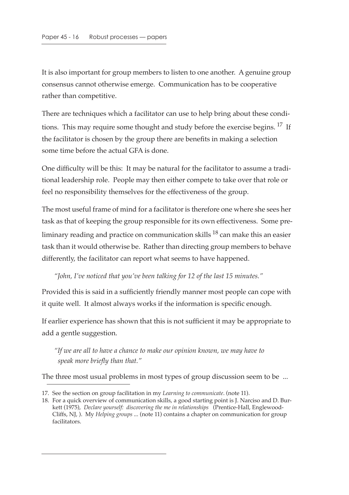It is also important for group members to listen to one another. A genuine group consensus cannot otherwise emerge. Communication has to be cooperative rather than competitive.

There are techniques which a facilitator can use to help bring about these conditions. This may require some thought and study before the exercise begins. <sup>17</sup> If the facilitator is chosen by the group there are benefits in making a selection some time before the actual GFA is done.

One difficulty will be this: It may be natural for the facilitator to assume a traditional leadership role. People may then either compete to take over that role or feel no responsibility themselves for the effectiveness of the group.

The most useful frame of mind for a facilitator is therefore one where she sees her task as that of keeping the group responsible for its own effectiveness. Some preliminary reading and practice on communication skills  $^{18}$  can make this an easier task than it would otherwise be. Rather than directing group members to behave differently, the facilitator can report what seems to have happened.

*"John, I've noticed that you've been talking for 12 of the last 15 minutes."*

Provided this is said in a sufficiently friendly manner most people can cope with it quite well. It almost always works if the information is specific enough.

If earlier experience has shown that this is not sufficient it may be appropriate to add a gentle suggestion.

*"If we are all to have a chance to make our opinion known, we may have to speak more briefly than that."*

The three most usual problems in most types of group discussion seem to be ...

<sup>17.</sup> See the section on group facilitation in my *Learning to communicate*. (note 11).

<sup>18.</sup> For a quick overview of communication skills, a good starting point is J. Narciso and D. Burkett (1975), *Declare yourself: discovering the me in relationships* (Prentice-Hall, Englewood-Cliffs, NJ, ). My *Helping groups* ... (note 11) contains a chapter on communication for group facilitators.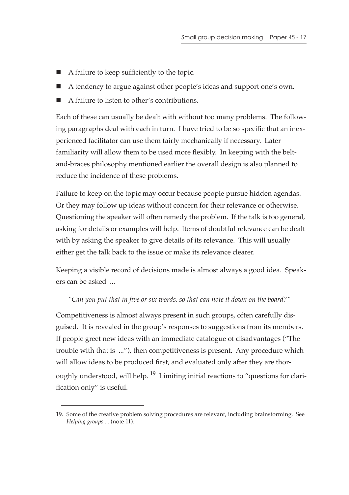- A failure to keep sufficiently to the topic.
- A tendency to argue against other people's ideas and support one's own.
- A failure to listen to other's contributions.

Each of these can usually be dealt with without too many problems. The following paragraphs deal with each in turn. I have tried to be so specific that an inexperienced facilitator can use them fairly mechanically if necessary. Later familiarity will allow them to be used more flexibly. In keeping with the beltand-braces philosophy mentioned earlier the overall design is also planned to reduce the incidence of these problems.

Failure to keep on the topic may occur because people pursue hidden agendas. Or they may follow up ideas without concern for their relevance or otherwise. Questioning the speaker will often remedy the problem. If the talk is too general, asking for details or examples will help. Items of doubtful relevance can be dealt with by asking the speaker to give details of its relevance. This will usually either get the talk back to the issue or make its relevance clearer.

Keeping a visible record of decisions made is almost always a good idea. Speakers can be asked ...

#### *"Can you put that in five or six words, so that can note it down on the board?"*

Competitiveness is almost always present in such groups, often carefully disguised. It is revealed in the group's responses to suggestions from its members. If people greet new ideas with an immediate catalogue of disadvantages ("The trouble with that is ..."), then competitiveness is present. Any procedure which will allow ideas to be produced first, and evaluated only after they are thoroughly understood, will help.  $^{19}$  Limiting initial reactions to "questions for clarification only" is useful.

<sup>19.</sup> Some of the creative problem solving procedures are relevant, including brainstorming. See *Helping groups* ... (note 11).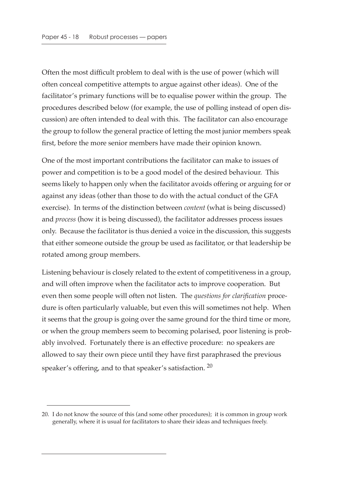Often the most difficult problem to deal with is the use of power (which will often conceal competitive attempts to argue against other ideas). One of the facilitator's primary functions will be to equalise power within the group. The procedures described below (for example, the use of polling instead of open discussion) are often intended to deal with this. The facilitator can also encourage the group to follow the general practice of letting the most junior members speak first, before the more senior members have made their opinion known.

One of the most important contributions the facilitator can make to issues of power and competition is to be a good model of the desired behaviour. This seems likely to happen only when the facilitator avoids offering or arguing for or against any ideas (other than those to do with the actual conduct of the GFA exercise). In terms of the distinction between *content* (what is being discussed) and *process* (how it is being discussed), the facilitator addresses process issues only. Because the facilitator is thus denied a voice in the discussion, this suggests that either someone outside the group be used as facilitator, or that leadership be rotated among group members.

Listening behaviour is closely related to the extent of competitiveness in a group, and will often improve when the facilitator acts to improve cooperation. But even then some people will often not listen. The *questions for clarification* procedure is often particularly valuable, but even this will sometimes not help. When it seems that the group is going over the same ground for the third time or more, or when the group members seem to becoming polarised, poor listening is probably involved. Fortunately there is an effective procedure: no speakers are allowed to say their own piece until they have first paraphrased the previous speaker's offering, and to that speaker's satisfaction. 20

<sup>20.</sup> I do not know the source of this (and some other procedures); it is common in group work generally, where it is usual for facilitators to share their ideas and techniques freely.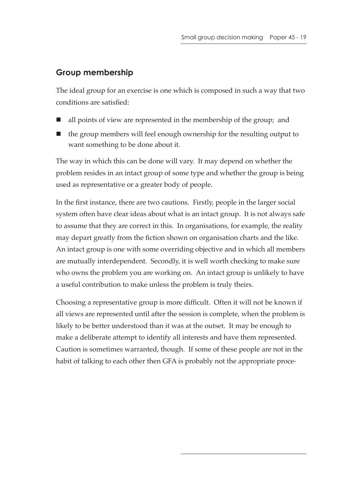### **Group membership**

The ideal group for an exercise is one which is composed in such a way that two conditions are satisfied:

- all points of view are represented in the membership of the group; and
- $\blacksquare$  the group members will feel enough ownership for the resulting output to want something to be done about it.

The way in which this can be done will vary. It may depend on whether the problem resides in an intact group of some type and whether the group is being used as representative or a greater body of people.

In the first instance, there are two cautions. Firstly, people in the larger social system often have clear ideas about what is an intact group. It is not always safe to assume that they are correct in this. In organisations, for example, the reality may depart greatly from the fiction shown on organisation charts and the like. An intact group is one with some overriding objective and in which all members are mutually interdependent. Secondly, it is well worth checking to make sure who owns the problem you are working on. An intact group is unlikely to have a useful contribution to make unless the problem is truly theirs.

Choosing a representative group is more difficult. Often it will not be known if all views are represented until after the session is complete, when the problem is likely to be better understood than it was at the outset. It may be enough to make a deliberate attempt to identify all interests and have them represented. Caution is sometimes warranted, though. If some of these people are not in the habit of talking to each other then GFA is probably not the appropriate proce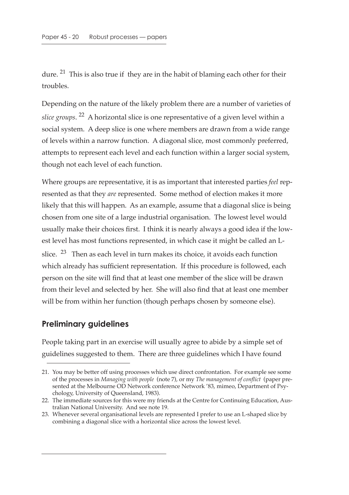dure. <sup>21</sup> This is also true if they are in the habit of blaming each other for their troubles.

Depending on the nature of the likely problem there are a number of varieties of *slice groups*. 22 A horizontal slice is one representative of a given level within a social system. A deep slice is one where members are drawn from a wide range of levels within a narrow function. A diagonal slice, most commonly preferred, attempts to represent each level and each function within a larger social system, though not each level of each function.

Where groups are representative, it is as important that interested parties *feel* represented as that they *are* represented. Some method of election makes it more likely that this will happen. As an example, assume that a diagonal slice is being chosen from one site of a large industrial organisation. The lowest level would usually make their choices first. I think it is nearly always a good idea if the lowest level has most functions represented, in which case it might be called an Lslice.  $23$  Then as each level in turn makes its choice, it avoids each function which already has sufficient representation. If this procedure is followed, each person on the site will find that at least one member of the slice will be drawn from their level and selected by her. She will also find that at least one member will be from within her function (though perhaps chosen by someone else).

#### **Preliminary guidelines**

People taking part in an exercise will usually agree to abide by a simple set of guidelines suggested to them. There are three guidelines which I have found

<sup>21.</sup> You may be better off using processes which use direct confrontation. For example see some of the processes in *Managing with people* (note 7), or my *The management of conflict* (paper presented at the Melbourne OD Network conference Network '83, mimeo, Department of Psychology, University of Queensland, 1983).

<sup>22.</sup> The immediate sources for this were my friends at the Centre for Continuing Education, Australian National University. And see note 19.

<sup>23.</sup> Whenever several organisational levels are represented I prefer to use an L-shaped slice by combining a diagonal slice with a horizontal slice across the lowest level.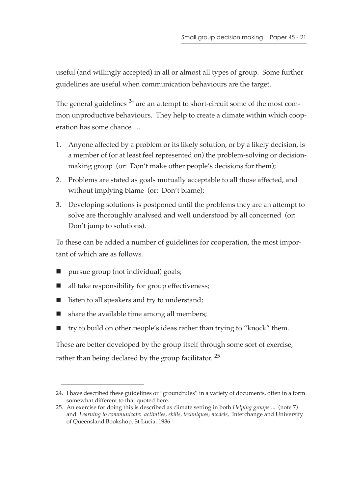useful (and willingly accepted) in all or almost all types of group. Some further guidelines are useful when communication behaviours are the target.

The general guidelines  $^{24}$  are an attempt to short-circuit some of the most common unproductive behaviours. They help to create a climate within which cooperation has some chance ...

- 1. Anyone affected by a problem or its likely solution, or by a likely decision, is a member of (or at least feel represented on) the problem-solving or decisionmaking group (or: Don't make other people's decisions for them);
- 2. Problems are stated as goals mutually acceptable to all those affected, and without implying blame (or: Don't blame);
- 3. Developing solutions is postponed until the problems they are an attempt to solve are thoroughly analysed and well understood by all concerned (or: Don't jump to solutions).

To these can be added a number of guidelines for cooperation, the most important of which are as follows.

- pursue group (not individual) goals;
- all take responsibility for group effectiveness;
- listen to all speakers and try to understand;
- $\blacksquare$  share the available time among all members;
- try to build on other people's ideas rather than trying to "knock" them.

These are better developed by the group itself through some sort of exercise, rather than being declared by the group facilitator.  $25$ 

<sup>24.</sup> I have described these guidelines or "groundrules" in a variety of documents, often in a form somewhat different to that quoted here.

<sup>25.</sup> An exercise for doing this is described as climate setting in both *Helping groups* ... (note 7) and *Learning to communicate: activities, skills, techniques, models*, Interchange and University of Queensland Bookshop, St Lucia, 1986.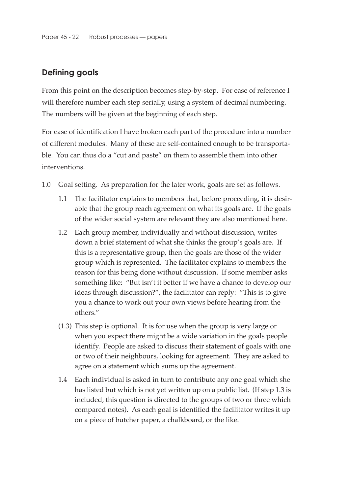### **Defining goals**

From this point on the description becomes step-by-step. For ease of reference I will therefore number each step serially, using a system of decimal numbering. The numbers will be given at the beginning of each step.

For ease of identification I have broken each part of the procedure into a number of different modules. Many of these are self-contained enough to be transportable. You can thus do a "cut and paste" on them to assemble them into other interventions.

- 1.0 Goal setting. As preparation for the later work, goals are set as follows.
	- 1.1 The facilitator explains to members that, before proceeding, it is desirable that the group reach agreement on what its goals are. If the goals of the wider social system are relevant they are also mentioned here.
	- 1.2 Each group member, individually and without discussion, writes down a brief statement of what she thinks the group's goals are. If this is a representative group, then the goals are those of the wider group which is represented. The facilitator explains to members the reason for this being done without discussion. If some member asks something like: "But isn't it better if we have a chance to develop our ideas through discussion?", the facilitator can reply: "This is to give you a chance to work out your own views before hearing from the others."
	- (1.3) This step is optional. It is for use when the group is very large or when you expect there might be a wide variation in the goals people identify. People are asked to discuss their statement of goals with one or two of their neighbours, looking for agreement. They are asked to agree on a statement which sums up the agreement.
	- 1.4 Each individual is asked in turn to contribute any one goal which she has listed but which is not yet written up on a public list. (If step 1.3 is included, this question is directed to the groups of two or three which compared notes). As each goal is identified the facilitator writes it up on a piece of butcher paper, a chalkboard, or the like.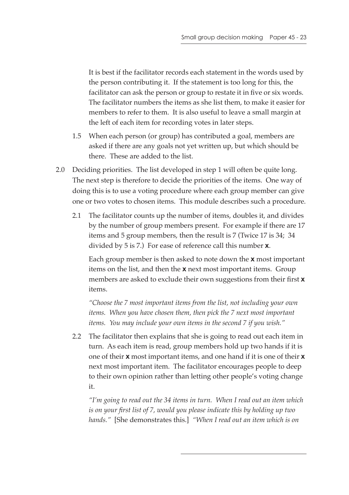It is best if the facilitator records each statement in the words used by the person contributing it. If the statement is too long for this, the facilitator can ask the person or group to restate it in five or six words. The facilitator numbers the items as she list them, to make it easier for members to refer to them. It is also useful to leave a small margin at the left of each item for recording votes in later steps.

- 1.5 When each person (or group) has contributed a goal, members are asked if there are any goals not yet written up, but which should be there. These are added to the list.
- 2.0 Deciding priorities. The list developed in step 1 will often be quite long. The next step is therefore to decide the priorities of the items. One way of doing this is to use a voting procedure where each group member can give one or two votes to chosen items. This module describes such a procedure.
	- 2.1 The facilitator counts up the number of items, doubles it, and divides by the number of group members present. For example if there are 17 items and 5 group members, then the result is 7 (Twice 17 is 34; 34 divided by 5 is 7.) For ease of reference call this number **x**.

Each group member is then asked to note down the **x** most important items on the list, and then the **x** next most important items. Group members are asked to exclude their own suggestions from their first **x** items.

*"Choose the 7 most important items from the list, not including your own items. When you have chosen them, then pick the 7 next most important items. You may include your own items in the second 7 if you wish."*

2.2 The facilitator then explains that she is going to read out each item in turn. As each item is read, group members hold up two hands if it is one of their **x** most important items, and one hand if it is one of their **x** next most important item. The facilitator encourages people to deep to their own opinion rather than letting other people's voting change it.

*"I'm going to read out the 34 items in turn. When I read out an item which is on your first list of 7, would you please indicate this by holding up two hands."* [She demonstrates this.] *"When I read out an item which is on*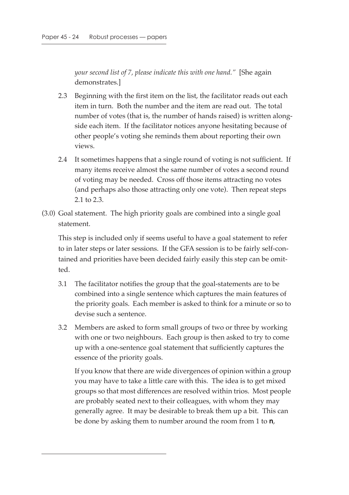*your second list of 7, please indicate this with one hand."* [She again demonstrates.]

- 2.3 Beginning with the first item on the list, the facilitator reads out each item in turn. Both the number and the item are read out. The total number of votes (that is, the number of hands raised) is written alongside each item. If the facilitator notices anyone hesitating because of other people's voting she reminds them about reporting their own views.
- 2.4 It sometimes happens that a single round of voting is not sufficient. If many items receive almost the same number of votes a second round of voting may be needed. Cross off those items attracting no votes (and perhaps also those attracting only one vote). Then repeat steps 2.1 to 2.3.
- (3.0) Goal statement. The high priority goals are combined into a single goal statement.

This step is included only if seems useful to have a goal statement to refer to in later steps or later sessions. If the GFA session is to be fairly self-contained and priorities have been decided fairly easily this step can be omitted.

- 3.1 The facilitator notifies the group that the goal-statements are to be combined into a single sentence which captures the main features of the priority goals. Each member is asked to think for a minute or so to devise such a sentence.
- 3.2 Members are asked to form small groups of two or three by working with one or two neighbours. Each group is then asked to try to come up with a one-sentence goal statement that sufficiently captures the essence of the priority goals.

If you know that there are wide divergences of opinion within a group you may have to take a little care with this. The idea is to get mixed groups so that most differences are resolved within trios. Most people are probably seated next to their colleagues, with whom they may generally agree. It may be desirable to break them up a bit. This can be done by asking them to number around the room from 1 to **n**,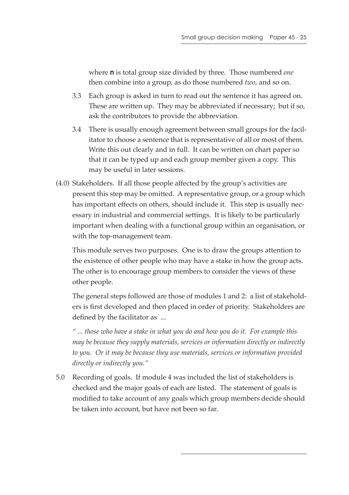where **n** is total group size divided by three. Those numbered *one* then combine into a group, as do those numbered *two*, and so on.

- 3.3 Each group is asked in turn to read out the sentence it has agreed on. These are written up. They may be abbreviated if necessary; but if so, ask the contributors to provide the abbreviation.
- 3.4 There is usually enough agreement between small groups for the facilitator to choose a sentence that is representative of all or most of them. Write this out clearly and in full. It can be written on chart paper so that it can be typed up and each group member given a copy. This may be useful in later sessions.
- (4.0) Stakeholders. If all those people affected by the group's activities are present this step may be omitted. A representative group, or a group which has important effects on others, should include it. This step is usually necessary in industrial and commercial settings. It is likely to be particularly important when dealing with a functional group within an organisation, or with the top-management team.

This module serves two purposes. One is to draw the groups attention to the existence of other people who may have a stake in how the group acts. The other is to encourage group members to consider the views of these other people.

The general steps followed are those of modules 1 and 2: a list of stakeholders is first developed and then placed in order of priority. Stakeholders are defined by the facilitator as ...

*" ... those who have a stake in what you do and how you do it. For example this may be because they supply materials, services or information directly or indirectly to you. Or it may be because they use materials, services or information provided directly or indirectly you."*

5.0 Recording of goals. If module 4 was included the list of stakeholders is checked and the major goals of each are listed. The statement of goals is modified to take account of any goals which group members decide should be taken into account, but have not been so far.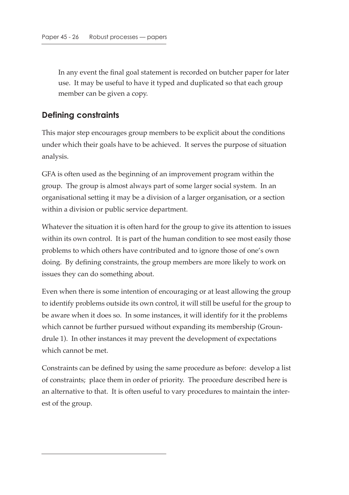In any event the final goal statement is recorded on butcher paper for later use. It may be useful to have it typed and duplicated so that each group member can be given a copy.

#### **Defining constraints**

This major step encourages group members to be explicit about the conditions under which their goals have to be achieved. It serves the purpose of situation analysis.

GFA is often used as the beginning of an improvement program within the group. The group is almost always part of some larger social system. In an organisational setting it may be a division of a larger organisation, or a section within a division or public service department.

Whatever the situation it is often hard for the group to give its attention to issues within its own control. It is part of the human condition to see most easily those problems to which others have contributed and to ignore those of one's own doing. By defining constraints, the group members are more likely to work on issues they can do something about.

Even when there is some intention of encouraging or at least allowing the group to identify problems outside its own control, it will still be useful for the group to be aware when it does so. In some instances, it will identify for it the problems which cannot be further pursued without expanding its membership (Groundrule 1). In other instances it may prevent the development of expectations which cannot be met.

Constraints can be defined by using the same procedure as before: develop a list of constraints; place them in order of priority. The procedure described here is an alternative to that. It is often useful to vary procedures to maintain the interest of the group.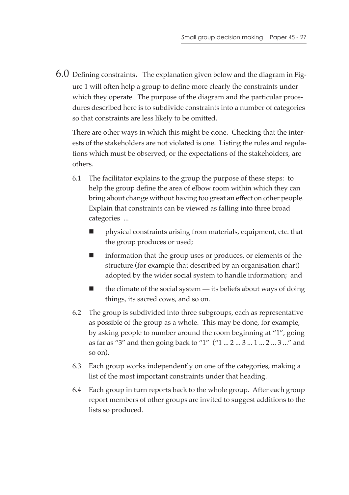6.0 Defining constraints. The explanation given below and the diagram in Figure 1 will often help a group to define more clearly the constraints under which they operate. The purpose of the diagram and the particular procedures described here is to subdivide constraints into a number of categories so that constraints are less likely to be omitted.

There are other ways in which this might be done. Checking that the interests of the stakeholders are not violated is one. Listing the rules and regulations which must be observed, or the expectations of the stakeholders, are others.

- 6.1 The facilitator explains to the group the purpose of these steps: to help the group define the area of elbow room within which they can bring about change without having too great an effect on other people. Explain that constraints can be viewed as falling into three broad categories ...
	- physical constraints arising from materials, equipment, etc. that the group produces or used;
	- **IDED** information that the group uses or produces, or elements of the structure (for example that described by an organisation chart) adopted by the wider social system to handle information; and
	- the climate of the social system its beliefs about ways of doing things, its sacred cows, and so on.
- 6.2 The group is subdivided into three subgroups, each as representative as possible of the group as a whole. This may be done, for example, by asking people to number around the room beginning at "1", going as far as "3" and then going back to "1" ("1 ... 2 ... 3 ... 1 ... 2 ... 3 ..." and so on).
- 6.3 Each group works independently on one of the categories, making a list of the most important constraints under that heading.
- 6.4 Each group in turn reports back to the whole group. After each group report members of other groups are invited to suggest additions to the lists so produced.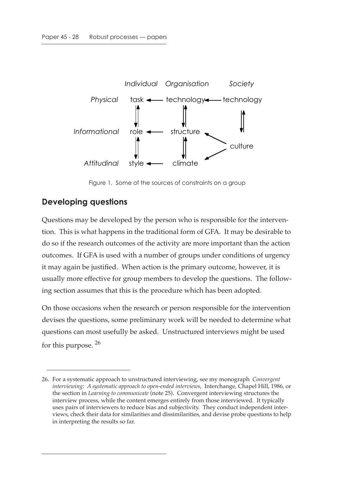

Figure 1. Some of the sources of constraints on a group

### **Developing questions**

Questions may be developed by the person who is responsible for the intervention. This is what happens in the traditional form of GFA. It may be desirable to do so if the research outcomes of the activity are more important than the action outcomes. If GFA is used with a number of groups under conditions of urgency it may again be justified. When action is the primary outcome, however, it is usually more effective for group members to develop the questions. The following section assumes that this is the procedure which has been adopted.

On those occasions when the research or person responsible for the intervention devises the questions, some preliminary work will be needed to determine what questions can most usefully be asked. Unstructured interviews might be used for this purpose. 26

<sup>26.</sup> For a systematic approach to unstructured interviewing, see my monograph *Convergent interviewing: A systematic approach to open-ended interviews*, Interchange, Chapel Hill, 1986, or the section in *Learning to communicate* (note 25). Convergent interviewing structures the interview process, while the content emerges entirely from those interviewed. It typically uses pairs of interviewers to reduce bias and subjectivity. They conduct independent interviews, check their data for similarities and dissimilarities, and devise probe questions to help in interpreting the results so far.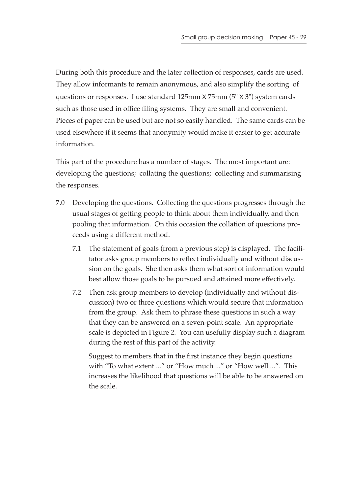During both this procedure and the later collection of responses, cards are used. They allow informants to remain anonymous, and also simplify the sorting of questions or responses. I use standard 125mm x 75mm (5" x 3") system cards such as those used in office filing systems. They are small and convenient. Pieces of paper can be used but are not so easily handled. The same cards can be used elsewhere if it seems that anonymity would make it easier to get accurate information.

This part of the procedure has a number of stages. The most important are: developing the questions; collating the questions; collecting and summarising the responses.

- 7.0 Developing the questions. Collecting the questions progresses through the usual stages of getting people to think about them individually, and then pooling that information. On this occasion the collation of questions proceeds using a different method.
	- 7.1 The statement of goals (from a previous step) is displayed. The facilitator asks group members to reflect individually and without discussion on the goals. She then asks them what sort of information would best allow those goals to be pursued and attained more effectively.
	- 7.2 Then ask group members to develop (individually and without discussion) two or three questions which would secure that information from the group. Ask them to phrase these questions in such a way that they can be answered on a seven-point scale. An appropriate scale is depicted in Figure 2. You can usefully display such a diagram during the rest of this part of the activity.

Suggest to members that in the first instance they begin questions with "To what extent ..." or "How much ..." or "How well ...". This increases the likelihood that questions will be able to be answered on the scale.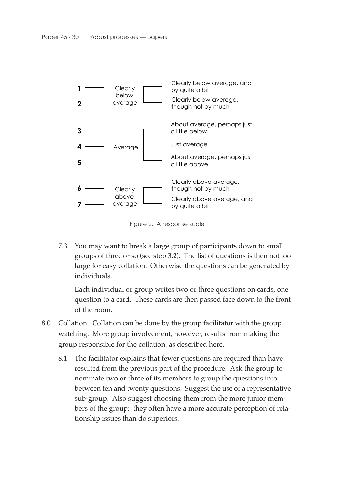

Figure 2. A response scale

7.3 You may want to break a large group of participants down to small groups of three or so (see step 3.2). The list of questions is then not too large for easy collation. Otherwise the questions can be generated by individuals.

Each individual or group writes two or three questions on cards, one question to a card. These cards are then passed face down to the front of the room.

- 8.0 Collation. Collation can be done by the group facilitator with the group watching. More group involvement, however, results from making the group responsible for the collation, as described here.
	- 8.1 The facilitator explains that fewer questions are required than have resulted from the previous part of the procedure. Ask the group to nominate two or three of its members to group the questions into between ten and twenty questions. Suggest the use of a representative sub-group. Also suggest choosing them from the more junior members of the group; they often have a more accurate perception of relationship issues than do superiors.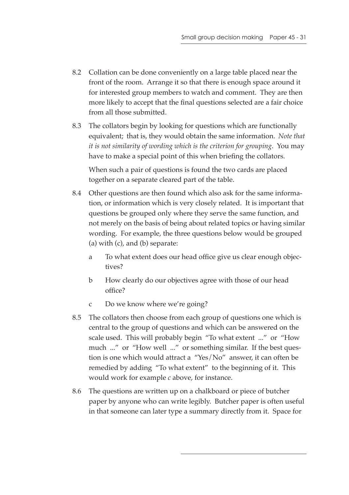- 8.2 Collation can be done conveniently on a large table placed near the front of the room. Arrange it so that there is enough space around it for interested group members to watch and comment. They are then more likely to accept that the final questions selected are a fair choice from all those submitted.
- 8.3 The collators begin by looking for questions which are functionally equivalent; that is, they would obtain the same information. *Note that it is not similarity of wording which is the criterion for grouping*. You may have to make a special point of this when briefing the collators.

When such a pair of questions is found the two cards are placed together on a separate cleared part of the table.

- 8.4 Other questions are then found which also ask for the same information, or information which is very closely related. It is important that questions be grouped only where they serve the same function, and not merely on the basis of being about related topics or having similar wording. For example, the three questions below would be grouped  $(a)$  with  $(c)$ , and  $(b)$  separate:
	- a To what extent does our head office give us clear enough objectives?
	- b How clearly do our objectives agree with those of our head office?
	- c Do we know where we're going?
- 8.5 The collators then choose from each group of questions one which is central to the group of questions and which can be answered on the scale used. This will probably begin "To what extent ..." or "How much ..." or "How well ..." or something similar. If the best question is one which would attract a "Yes/No" answer, it can often be remedied by adding "To what extent" to the beginning of it. This would work for example *c* above, for instance.
- 8.6 The questions are written up on a chalkboard or piece of butcher paper by anyone who can write legibly. Butcher paper is often useful in that someone can later type a summary directly from it. Space for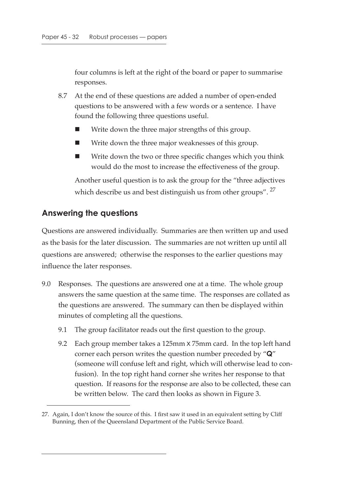four columns is left at the right of the board or paper to summarise responses.

- 8.7 At the end of these questions are added a number of open-ended questions to be answered with a few words or a sentence. I have found the following three questions useful.
	- Write down the three major strengths of this group.
	- Write down the three major weaknesses of this group.
	- Write down the two or three specific changes which you think would do the most to increase the effectiveness of the group.

Another useful question is to ask the group for the "three adjectives which describe us and best distinguish us from other groups". <sup>27</sup>

#### **Answering the questions**

Questions are answered individually. Summaries are then written up and used as the basis for the later discussion. The summaries are not written up until all questions are answered; otherwise the responses to the earlier questions may influence the later responses.

- 9.0 Responses. The questions are answered one at a time. The whole group answers the same question at the same time. The responses are collated as the questions are answered. The summary can then be displayed within minutes of completing all the questions.
	- 9.1 The group facilitator reads out the first question to the group.
	- 9.2 Each group member takes a 125mm x 75mm card. In the top left hand corner each person writes the question number preceded by "**Q**" (someone will confuse left and right, which will otherwise lead to confusion). In the top right hand corner she writes her response to that question. If reasons for the response are also to be collected, these can be written below. The card then looks as shown in Figure 3.

<sup>27.</sup> Again, I don't know the source of this. I first saw it used in an equivalent setting by Cliff Bunning, then of the Queensland Department of the Public Service Board.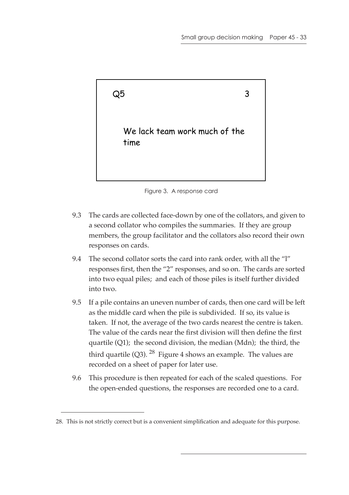



- 9.3 The cards are collected face-down by one of the collators, and given to a second collator who compiles the summaries. If they are group members, the group facilitator and the collators also record their own responses on cards.
- 9.4 The second collator sorts the card into rank order, with all the "l" responses first, then the "2" responses, and so on. The cards are sorted into two equal piles; and each of those piles is itself further divided into two.
- 9.5 If a pile contains an uneven number of cards, then one card will be left as the middle card when the pile is subdivided. If so, its value is taken. If not, the average of the two cards nearest the centre is taken. The value of the cards near the first division will then define the first quartile (Q1); the second division, the median (Mdn); the third, the third quartile (Q3).  $^{28}$  Figure 4 shows an example. The values are recorded on a sheet of paper for later use.
- 9.6 This procedure is then repeated for each of the scaled questions. For the open-ended questions, the responses are recorded one to a card.

<sup>28.</sup> This is not strictly correct but is a convenient simplification and adequate for this purpose.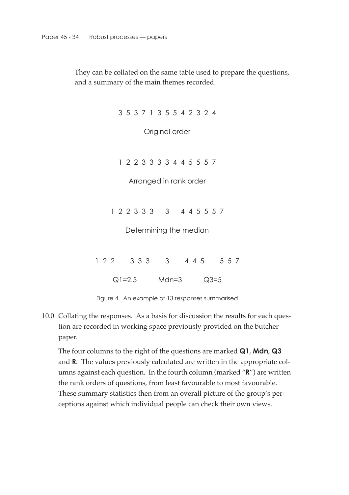They can be collated on the same table used to prepare the questions, and a summary of the main themes recorded.

3 5 3 7 1 3 5 5 4 2 3 2 4

Original order

1 2 2 3 3 3 3 4 4 5 5 5 7

Arranged in rank order

1 2 2 3 3 3 3 4 4 5 5 5 7

Determining the median

1 2 2 3 3 3 4 4 5 5 5 7 Q1=2.5 Mdn=3 Q3=5

Figure 4. An example of 13 responses summarised

10.0 Collating the responses. As a basis for discussion the results for each question are recorded in working space previously provided on the butcher paper.

The four columns to the right of the questions are marked **Q1**, **Mdn**, **Q3** and **R**. The values previously calculated are written in the appropriate columns against each question. In the fourth column (marked "**R**") are written the rank orders of questions, from least favourable to most favourable. These summary statistics then from an overall picture of the group's perceptions against which individual people can check their own views.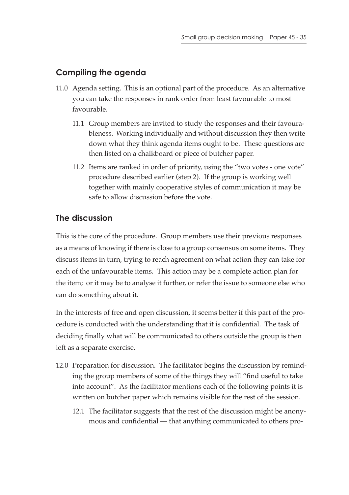### **Compiling the agenda**

- 11.0 Agenda setting. This is an optional part of the procedure. As an alternative you can take the responses in rank order from least favourable to most favourable.
	- 11.1 Group members are invited to study the responses and their favourableness. Working individually and without discussion they then write down what they think agenda items ought to be. These questions are then listed on a chalkboard or piece of butcher paper.
	- 11.2 Items are ranked in order of priority, using the "two votes one vote" procedure described earlier (step 2). If the group is working well together with mainly cooperative styles of communication it may be safe to allow discussion before the vote.

### **The discussion**

This is the core of the procedure. Group members use their previous responses as a means of knowing if there is close to a group consensus on some items. They discuss items in turn, trying to reach agreement on what action they can take for each of the unfavourable items. This action may be a complete action plan for the item; or it may be to analyse it further, or refer the issue to someone else who can do something about it.

In the interests of free and open discussion, it seems better if this part of the procedure is conducted with the understanding that it is confidential. The task of deciding finally what will be communicated to others outside the group is then left as a separate exercise.

- 12.0 Preparation for discussion. The facilitator begins the discussion by reminding the group members of some of the things they will "find useful to take into account". As the facilitator mentions each of the following points it is written on butcher paper which remains visible for the rest of the session.
	- 12.1 The facilitator suggests that the rest of the discussion might be anonymous and confidential — that anything communicated to others pro-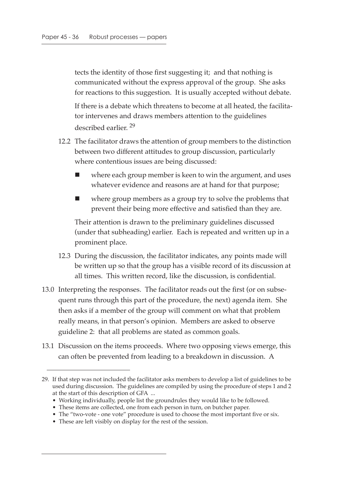tects the identity of those first suggesting it; and that nothing is communicated without the express approval of the group. She asks for reactions to this suggestion. It is usually accepted without debate.

If there is a debate which threatens to become at all heated, the facilitator intervenes and draws members attention to the guidelines described earlier. 29

- 12.2 The facilitator draws the attention of group members to the distinction between two different attitudes to group discussion, particularly where contentious issues are being discussed:
	- where each group member is keen to win the argument, and uses whatever evidence and reasons are at hand for that purpose;
	- where group members as a group try to solve the problems that prevent their being more effective and satisfied than they are.

Their attention is drawn to the preliminary guidelines discussed (under that subheading) earlier. Each is repeated and written up in a prominent place.

- 12.3 During the discussion, the facilitator indicates, any points made will be written up so that the group has a visible record of its discussion at all times. This written record, like the discussion, is confidential.
- 13.0 Interpreting the responses. The facilitator reads out the first (or on subsequent runs through this part of the procedure, the next) agenda item. She then asks if a member of the group will comment on what that problem really means, in that person's opinion. Members are asked to observe guideline 2: that all problems are stated as common goals.
- 13.1 Discussion on the items proceeds. Where two opposing views emerge, this can often be prevented from leading to a breakdown in discussion. A

<sup>29.</sup> If that step was not included the facilitator asks members to develop a list of guidelines to be used during discussion. The guidelines are compiled by using the procedure of steps 1 and 2 at the start of this description of GFA ...

<sup>•</sup> Working individually, people list the groundrules they would like to be followed.

<sup>•</sup> These items are collected, one from each person in turn, on butcher paper.

<sup>•</sup> The "two-vote - one vote" procedure is used to choose the most important five or six.

<sup>•</sup> These are left visibly on display for the rest of the session.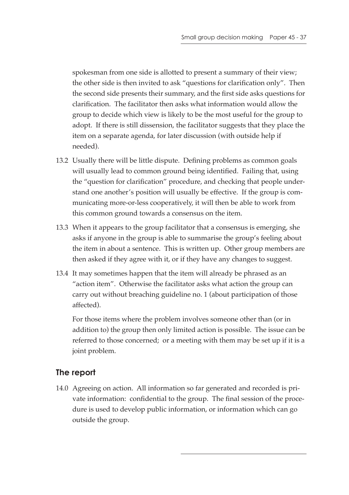spokesman from one side is allotted to present a summary of their view; the other side is then invited to ask "questions for clarification only". Then the second side presents their summary, and the first side asks questions for clarification. The facilitator then asks what information would allow the group to decide which view is likely to be the most useful for the group to adopt. If there is still dissension, the facilitator suggests that they place the item on a separate agenda, for later discussion (with outside help if needed).

- 13.2 Usually there will be little dispute. Defining problems as common goals will usually lead to common ground being identified. Failing that, using the "question for clarification" procedure, and checking that people understand one another's position will usually be effective. If the group is communicating more-or-less cooperatively, it will then be able to work from this common ground towards a consensus on the item.
- 13.3 When it appears to the group facilitator that a consensus is emerging, she asks if anyone in the group is able to summarise the group's feeling about the item in about a sentence. This is written up. Other group members are then asked if they agree with it, or if they have any changes to suggest.
- 13.4 It may sometimes happen that the item will already be phrased as an "action item". Otherwise the facilitator asks what action the group can carry out without breaching guideline no. 1 (about participation of those affected).

For those items where the problem involves someone other than (or in addition to) the group then only limited action is possible. The issue can be referred to those concerned; or a meeting with them may be set up if it is a joint problem.

### **The report**

14.0 Agreeing on action. All information so far generated and recorded is private information: confidential to the group. The final session of the procedure is used to develop public information, or information which can go outside the group.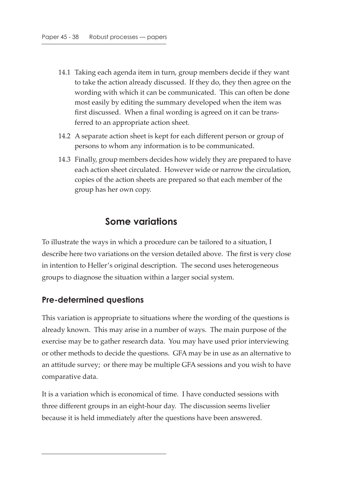- 14.1 Taking each agenda item in turn, group members decide if they want to take the action already discussed. If they do, they then agree on the wording with which it can be communicated. This can often be done most easily by editing the summary developed when the item was first discussed. When a final wording is agreed on it can be transferred to an appropriate action sheet.
- 14.2 A separate action sheet is kept for each different person or group of persons to whom any information is to be communicated.
- 14.3 Finally, group members decides how widely they are prepared to have each action sheet circulated. However wide or narrow the circulation, copies of the action sheets are prepared so that each member of the group has her own copy.

# **Some variations**

To illustrate the ways in which a procedure can be tailored to a situation, I describe here two variations on the version detailed above. The first is very close in intention to Heller's original description. The second uses heterogeneous groups to diagnose the situation within a larger social system.

#### **Pre-determined questions**

This variation is appropriate to situations where the wording of the questions is already known. This may arise in a number of ways. The main purpose of the exercise may be to gather research data. You may have used prior interviewing or other methods to decide the questions. GFA may be in use as an alternative to an attitude survey; or there may be multiple GFA sessions and you wish to have comparative data.

It is a variation which is economical of time. I have conducted sessions with three different groups in an eight-hour day. The discussion seems livelier because it is held immediately after the questions have been answered.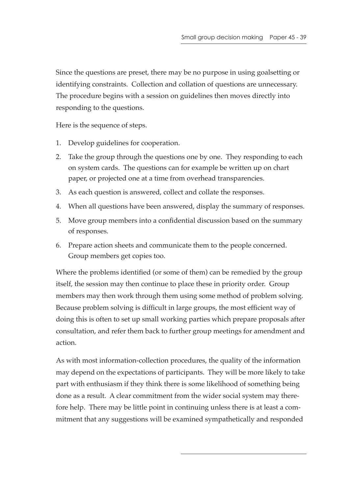Since the questions are preset, there may be no purpose in using goalsetting or identifying constraints. Collection and collation of questions are unnecessary. The procedure begins with a session on guidelines then moves directly into responding to the questions.

Here is the sequence of steps.

- 1. Develop guidelines for cooperation.
- 2. Take the group through the questions one by one. They responding to each on system cards. The questions can for example be written up on chart paper, or projected one at a time from overhead transparencies.
- 3. As each question is answered, collect and collate the responses.
- 4. When all questions have been answered, display the summary of responses.
- 5. Move group members into a confidential discussion based on the summary of responses.
- 6. Prepare action sheets and communicate them to the people concerned. Group members get copies too.

Where the problems identified (or some of them) can be remedied by the group itself, the session may then continue to place these in priority order. Group members may then work through them using some method of problem solving. Because problem solving is difficult in large groups, the most efficient way of doing this is often to set up small working parties which prepare proposals after consultation, and refer them back to further group meetings for amendment and action.

As with most information-collection procedures, the quality of the information may depend on the expectations of participants. They will be more likely to take part with enthusiasm if they think there is some likelihood of something being done as a result. A clear commitment from the wider social system may therefore help. There may be little point in continuing unless there is at least a commitment that any suggestions will be examined sympathetically and responded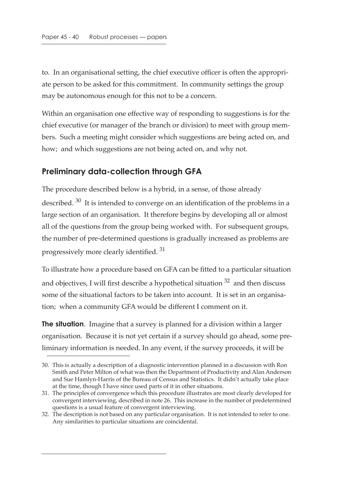to. In an organisational setting, the chief executive officer is often the appropriate person to be asked for this commitment. In community settings the group may be autonomous enough for this not to be a concern.

Within an organisation one effective way of responding to suggestions is for the chief executive (or manager of the branch or division) to meet with group members. Such a meeting might consider which suggestions are being acted on, and how; and which suggestions are not being acted on, and why not.

### **Preliminary data-collection through GFA**

The procedure described below is a hybrid, in a sense, of those already described. 30 It is intended to converge on an identification of the problems in a large section of an organisation. It therefore begins by developing all or almost all of the questions from the group being worked with. For subsequent groups, the number of pre-determined questions is gradually increased as problems are progressively more clearly identified.<sup>31</sup>

To illustrate how a procedure based on GFA can be fitted to a particular situation and objectives, I will first describe a hypothetical situation  $32$  and then discuss some of the situational factors to be taken into account. It is set in an organisation; when a community GFA would be different I comment on it.

**The situation**. Imagine that a survey is planned for a division within a larger organisation. Because it is not yet certain if a survey should go ahead, some preliminary information is needed. In any event, if the survey proceeds, it will be

<sup>30.</sup> This is actually a description of a diagnostic intervention planned in a discussion with Ron Smith and Peter Milton of what was then the Department of Productivity and Alan Anderson and Sue Hamlyn-Harris of the Bureau of Census and Statistics. It didn't actually take place at the time, though I have since used parts of it in other situations.

<sup>31.</sup> The principles of convergence which this procedure illustrates are most clearly developed for convergent interviewing, described in note 26. This increase in the number of predetermined questions is a usual feature of convergent interviewing.

<sup>32.</sup> The description is not based on any particular organisation. It is not intended to refer to one. Any similarities to particular situations are coincidental.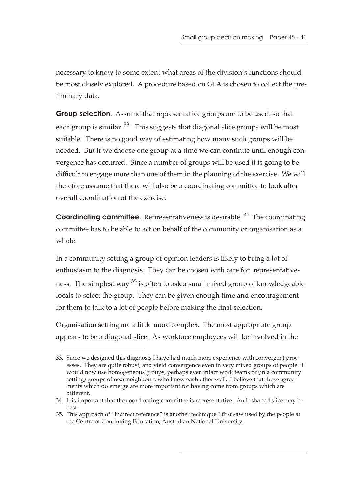necessary to know to some extent what areas of the division's functions should be most closely explored. A procedure based on GFA is chosen to collect the preliminary data.

**Group selection**. Assume that representative groups are to be used, so that each group is similar. <sup>33</sup> This suggests that diagonal slice groups will be most suitable. There is no good way of estimating how many such groups will be needed. But if we choose one group at a time we can continue until enough convergence has occurred. Since a number of groups will be used it is going to be difficult to engage more than one of them in the planning of the exercise. We will therefore assume that there will also be a coordinating committee to look after overall coordination of the exercise.

**Coordinating committee.** Representativeness is desirable. <sup>34</sup> The coordinating committee has to be able to act on behalf of the community or organisation as a whole.

In a community setting a group of opinion leaders is likely to bring a lot of enthusiasm to the diagnosis. They can be chosen with care for representativeness. The simplest way <sup>35</sup> is often to ask a small mixed group of knowledgeable locals to select the group. They can be given enough time and encouragement for them to talk to a lot of people before making the final selection.

Organisation setting are a little more complex. The most appropriate group appears to be a diagonal slice. As workface employees will be involved in the

<sup>33.</sup> Since we designed this diagnosis I have had much more experience with convergent processes. They are quite robust, and yield convergence even in very mixed groups of people. I would now use homogeneous groups, perhaps even intact work teams or (in a community setting) groups of near neighbours who knew each other well. I believe that those agreements which do emerge are more important for having come from groups which are different.

<sup>34.</sup> It is important that the coordinating committee is representative. An L-shaped slice may be best.

<sup>35.</sup> This approach of "indirect reference" is another technique I first saw used by the people at the Centre of Continuing Education, Australian National University.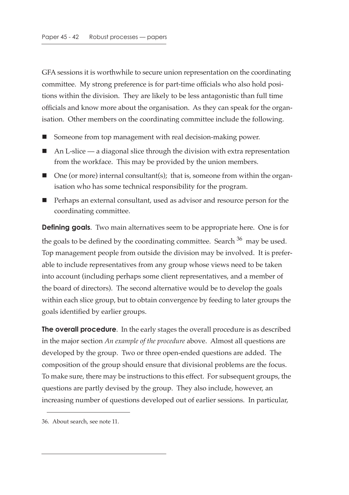GFA sessions it is worthwhile to secure union representation on the coordinating committee. My strong preference is for part-time officials who also hold positions within the division. They are likely to be less antagonistic than full time officials and know more about the organisation. As they can speak for the organisation. Other members on the coordinating committee include the following.

- Someone from top management with real decision-making power.
- $\blacksquare$  An L-slice a diagonal slice through the division with extra representation from the workface. This may be provided by the union members.
- $\Box$  One (or more) internal consultant(s); that is, someone from within the organisation who has some technical responsibility for the program.
- Perhaps an external consultant, used as advisor and resource person for the coordinating committee.

**Defining goals**. Two main alternatives seem to be appropriate here. One is for the goals to be defined by the coordinating committee. Search  $36$  may be used. Top management people from outside the division may be involved. It is preferable to include representatives from any group whose views need to be taken into account (including perhaps some client representatives, and a member of the board of directors). The second alternative would be to develop the goals within each slice group, but to obtain convergence by feeding to later groups the goals identified by earlier groups.

**The overall procedure**. In the early stages the overall procedure is as described in the major section *An example of the procedure* above. Almost all questions are developed by the group. Two or three open-ended questions are added. The composition of the group should ensure that divisional problems are the focus. To make sure, there may be instructions to this effect. For subsequent groups, the questions are partly devised by the group. They also include, however, an increasing number of questions developed out of earlier sessions. In particular,

<sup>36.</sup> About search, see note 11.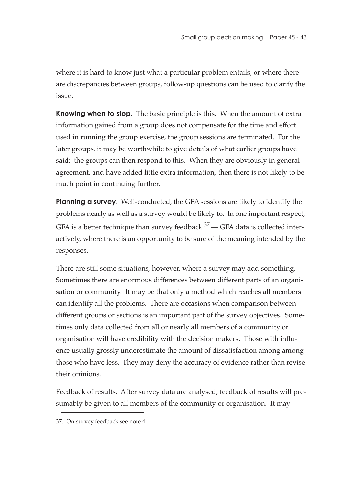where it is hard to know just what a particular problem entails, or where there are discrepancies between groups, follow-up questions can be used to clarify the issue.

**Knowing when to stop**. The basic principle is this. When the amount of extra information gained from a group does not compensate for the time and effort used in running the group exercise, the group sessions are terminated. For the later groups, it may be worthwhile to give details of what earlier groups have said; the groups can then respond to this. When they are obviously in general agreement, and have added little extra information, then there is not likely to be much point in continuing further.

**Planning a survey**. Well-conducted, the GFA sessions are likely to identify the problems nearly as well as a survey would be likely to. In one important respect, GFA is a better technique than survey feedback  $37$  — GFA data is collected interactively, where there is an opportunity to be sure of the meaning intended by the responses.

There are still some situations, however, where a survey may add something. Sometimes there are enormous differences between different parts of an organisation or community. It may be that only a method which reaches all members can identify all the problems. There are occasions when comparison between different groups or sections is an important part of the survey objectives. Sometimes only data collected from all or nearly all members of a community or organisation will have credibility with the decision makers. Those with influence usually grossly underestimate the amount of dissatisfaction among among those who have less. They may deny the accuracy of evidence rather than revise their opinions.

Feedback of results. After survey data are analysed, feedback of results will presumably be given to all members of the community or organisation. It may

<sup>37.</sup> On survey feedback see note 4.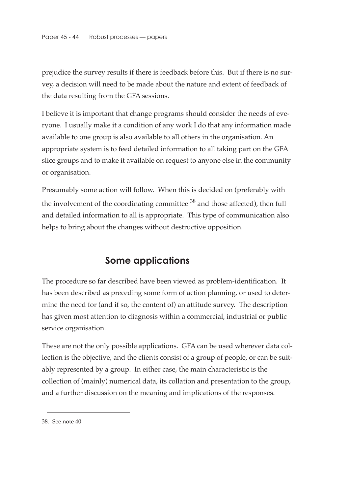prejudice the survey results if there is feedback before this. But if there is no survey, a decision will need to be made about the nature and extent of feedback of the data resulting from the GFA sessions.

I believe it is important that change programs should consider the needs of everyone. I usually make it a condition of any work I do that any information made available to one group is also available to all others in the organisation. An appropriate system is to feed detailed information to all taking part on the GFA slice groups and to make it available on request to anyone else in the community or organisation.

Presumably some action will follow. When this is decided on (preferably with the involvement of the coordinating committee  $38$  and those affected), then full and detailed information to all is appropriate. This type of communication also helps to bring about the changes without destructive opposition.

### **Some applications**

The procedure so far described have been viewed as problem-identification. It has been described as preceding some form of action planning, or used to determine the need for (and if so, the content of) an attitude survey. The description has given most attention to diagnosis within a commercial, industrial or public service organisation.

These are not the only possible applications. GFA can be used wherever data collection is the objective, and the clients consist of a group of people, or can be suitably represented by a group. In either case, the main characteristic is the collection of (mainly) numerical data, its collation and presentation to the group, and a further discussion on the meaning and implications of the responses.

<sup>38.</sup> See note 40.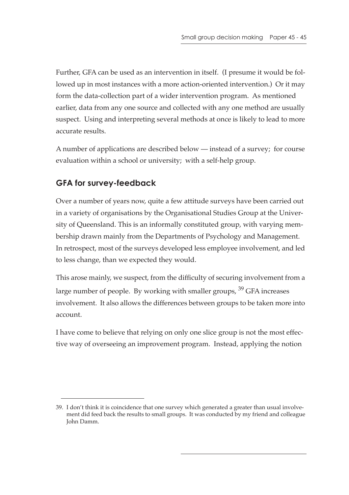Further, GFA can be used as an intervention in itself. (I presume it would be followed up in most instances with a more action-oriented intervention.) Or it may form the data-collection part of a wider intervention program. As mentioned earlier, data from any one source and collected with any one method are usually suspect. Using and interpreting several methods at once is likely to lead to more accurate results.

A number of applications are described below — instead of a survey; for course evaluation within a school or university; with a self-help group.

# **GFA for survey-feedback**

Over a number of years now, quite a few attitude surveys have been carried out in a variety of organisations by the Organisational Studies Group at the University of Queensland. This is an informally constituted group, with varying membership drawn mainly from the Departments of Psychology and Management. In retrospect, most of the surveys developed less employee involvement, and led to less change, than we expected they would.

This arose mainly, we suspect, from the difficulty of securing involvement from a large number of people. By working with smaller groups,  $39$  GFA increases involvement. It also allows the differences between groups to be taken more into account.

I have come to believe that relying on only one slice group is not the most effective way of overseeing an improvement program. Instead, applying the notion

<sup>39.</sup> I don't think it is coincidence that one survey which generated a greater than usual involvement did feed back the results to small groups. It was conducted by my friend and colleague John Damm.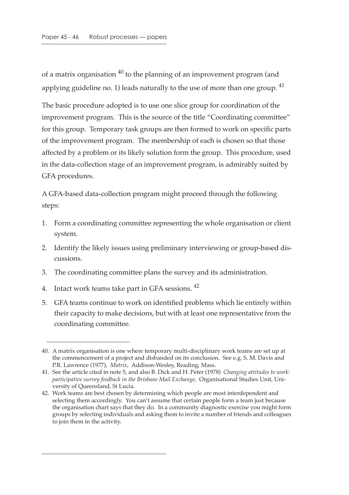of a matrix organisation  $40$  to the planning of an improvement program (and applying guideline no. 1) leads naturally to the use of more than one group.  $41$ 

The basic procedure adopted is to use one slice group for coordination of the improvement program. This is the source of the title "Coordinating committee" for this group. Temporary task groups are then formed to work on specific parts of the improvement program. The membership of each is chosen so that those affected by a problem or its likely solution form the group. This procedure, used in the data-collection stage of an improvement program, is admirably suited by GFA procedures.

A GFA-based data-collection program might proceed through the following steps:

- 1. Form a coordinating committee representing the whole organisation or client system.
- 2. Identify the likely issues using preliminary interviewing or group-based discussions.
- 3. The coordinating committee plans the survey and its administration.
- 4. Intact work teams take part in GFA sessions. <sup>42</sup>
- 5. GFA teams continue to work on identified problems which lie entirely within their capacity to make decisions, but with at least one representative from the coordinating committee.

<sup>40.</sup> A matrix organisation is one where temporary multi-disciplinary work teams are set up at the commencement of a project and disbanded on its conclusion. See e.g. S. M. Davis and P.R. Lawrence (1977), *Matrix*, Addison-Wesley, Reading, Mass.

<sup>41.</sup> See the article cited in note 5, and also B. Dick and H. Peter (1978) *Changing attitudes to work: participative survey feedback in the Brisbane Mail Exchange*, Organisational Studies Unit, University of Queensland, St Lucia.

<sup>42.</sup> Work teams are best chosen by determining which people are most interdependent and selecting them accordingly. You can't assume that certain people form a team just because the organisation chart says that they do. In a community diagnostic exercise you might form groups by selecting individuals and asking them to invite a number of friends and colleagues to join them in the activity.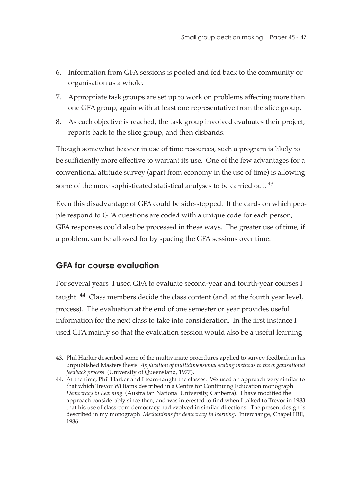- 6. Information from GFA sessions is pooled and fed back to the community or organisation as a whole.
- 7. Appropriate task groups are set up to work on problems affecting more than one GFA group, again with at least one representative from the slice group.
- 8. As each objective is reached, the task group involved evaluates their project, reports back to the slice group, and then disbands.

Though somewhat heavier in use of time resources, such a program is likely to be sufficiently more effective to warrant its use. One of the few advantages for a conventional attitude survey (apart from economy in the use of time) is allowing some of the more sophisticated statistical analyses to be carried out. <sup>43</sup>

Even this disadvantage of GFA could be side-stepped. If the cards on which people respond to GFA questions are coded with a unique code for each person, GFA responses could also be processed in these ways. The greater use of time, if a problem, can be allowed for by spacing the GFA sessions over time.

### **GFA for course evaluation**

For several years I used GFA to evaluate second-year and fourth-year courses I taught. <sup>44</sup> Class members decide the class content (and, at the fourth year level, process). The evaluation at the end of one semester or year provides useful information for the next class to take into consideration. In the first instance I used GFA mainly so that the evaluation session would also be a useful learning

<sup>43.</sup> Phil Harker described some of the multivariate procedures applied to survey feedback in his unpublished Masters thesis *Application of multidimensional scaling methods to the organisational feedback process* (University of Queensland, 1977).

<sup>44.</sup> At the time, Phil Harker and I team-taught the classes. We used an approach very similar to that which Trevor Williams described in a Centre for Continuing Education monograph *Democracy in Learning* (Australian National University, Canberra). I have modified the approach considerably since then, and was interested to find when I talked to Trevor in 1983 that his use of classroom democracy had evolved in similar directions. The present design is described in my monograph *Mechanisms for democracy in learning*, Interchange, Chapel Hill, 1986.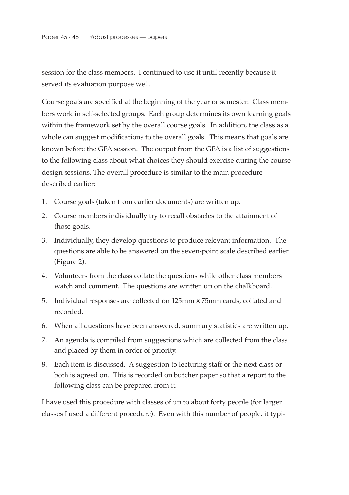session for the class members. I continued to use it until recently because it served its evaluation purpose well.

Course goals are specified at the beginning of the year or semester. Class members work in self-selected groups. Each group determines its own learning goals within the framework set by the overall course goals. In addition, the class as a whole can suggest modifications to the overall goals. This means that goals are known before the GFA session. The output from the GFA is a list of suggestions to the following class about what choices they should exercise during the course design sessions. The overall procedure is similar to the main procedure described earlier:

- 1. Course goals (taken from earlier documents) are written up.
- 2. Course members individually try to recall obstacles to the attainment of those goals.
- 3. Individually, they develop questions to produce relevant information. The questions are able to be answered on the seven-point scale described earlier (Figure 2).
- 4. Volunteers from the class collate the questions while other class members watch and comment. The questions are written up on the chalkboard.
- 5. Individual responses are collected on 125mm x 75mm cards, collated and recorded.
- 6. When all questions have been answered, summary statistics are written up.
- 7. An agenda is compiled from suggestions which are collected from the class and placed by them in order of priority.
- 8. Each item is discussed. A suggestion to lecturing staff or the next class or both is agreed on. This is recorded on butcher paper so that a report to the following class can be prepared from it.

I have used this procedure with classes of up to about forty people (for larger classes I used a different procedure). Even with this number of people, it typi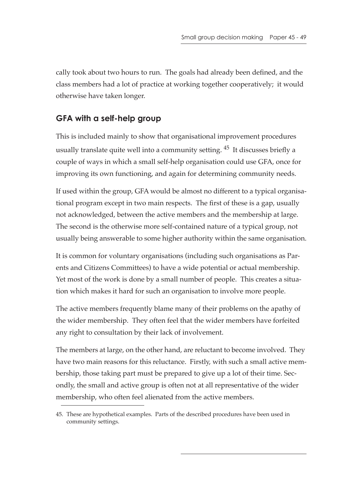cally took about two hours to run. The goals had already been defined, and the class members had a lot of practice at working together cooperatively; it would otherwise have taken longer.

### **GFA with a self-help group**

This is included mainly to show that organisational improvement procedures usually translate quite well into a community setting. 45 It discusses briefly a couple of ways in which a small self-help organisation could use GFA, once for improving its own functioning, and again for determining community needs.

If used within the group, GFA would be almost no different to a typical organisational program except in two main respects. The first of these is a gap, usually not acknowledged, between the active members and the membership at large. The second is the otherwise more self-contained nature of a typical group, not usually being answerable to some higher authority within the same organisation.

It is common for voluntary organisations (including such organisations as Parents and Citizens Committees) to have a wide potential or actual membership. Yet most of the work is done by a small number of people. This creates a situation which makes it hard for such an organisation to involve more people.

The active members frequently blame many of their problems on the apathy of the wider membership. They often feel that the wider members have forfeited any right to consultation by their lack of involvement.

The members at large, on the other hand, are reluctant to become involved. They have two main reasons for this reluctance. Firstly, with such a small active membership, those taking part must be prepared to give up a lot of their time. Secondly, the small and active group is often not at all representative of the wider membership, who often feel alienated from the active members.

<sup>45.</sup> These are hypothetical examples. Parts of the described procedures have been used in community settings.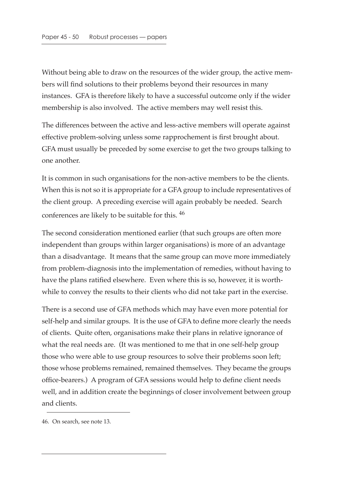Without being able to draw on the resources of the wider group, the active members will find solutions to their problems beyond their resources in many instances. GFA is therefore likely to have a successful outcome only if the wider membership is also involved. The active members may well resist this.

The differences between the active and less-active members will operate against effective problem-solving unless some rapprochement is first brought about. GFA must usually be preceded by some exercise to get the two groups talking to one another.

It is common in such organisations for the non-active members to be the clients. When this is not so it is appropriate for a GFA group to include representatives of the client group. A preceding exercise will again probably be needed. Search conferences are likely to be suitable for this. 46

The second consideration mentioned earlier (that such groups are often more independent than groups within larger organisations) is more of an advantage than a disadvantage. It means that the same group can move more immediately from problem-diagnosis into the implementation of remedies, without having to have the plans ratified elsewhere. Even where this is so, however, it is worthwhile to convey the results to their clients who did not take part in the exercise.

There is a second use of GFA methods which may have even more potential for self-help and similar groups. It is the use of GFA to define more clearly the needs of clients. Quite often, organisations make their plans in relative ignorance of what the real needs are. (It was mentioned to me that in one self-help group those who were able to use group resources to solve their problems soon left; those whose problems remained, remained themselves. They became the groups office-bearers.) A program of GFA sessions would help to define client needs well, and in addition create the beginnings of closer involvement between group and clients.

<sup>46.</sup> On search, see note 13.